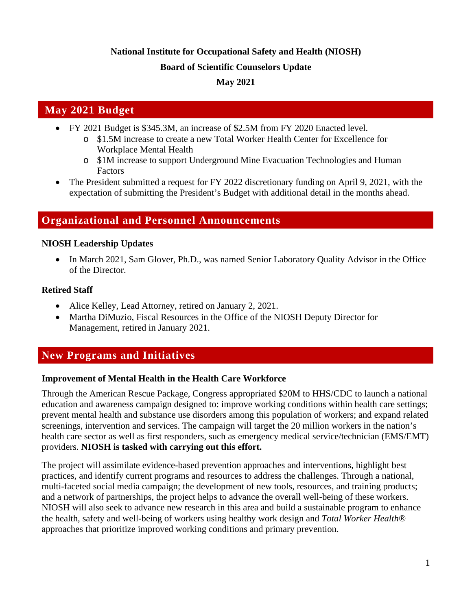# **National Institute for Occupational Safety and Health (NIOSH)**

#### **Board of Scientific Counselors Update**

### **May 2021**

# **May 2021 Budget**

- FY 2021 Budget is \$345.3M, an increase of \$2.5M from FY 2020 Enacted level.
	- o \$1.5M increase to create a new Total Worker Health Center for Excellence for Workplace Mental Health
	- o \$1M increase to support Underground Mine Evacuation Technologies and Human Factors
- The President submitted a request for FY 2022 discretionary funding on April 9, 2021, with the expectation of submitting the President's Budget with additional detail in the months ahead.

# **Organizational and Personnel Announcements**

#### **NIOSH Leadership Updates**

• In March 2021, Sam Glover, Ph.D., was named Senior Laboratory Quality Advisor in the Office of the Director.

#### **Retired Staff**

- Alice Kelley, Lead Attorney, retired on January 2, 2021.
- Martha DiMuzio, Fiscal Resources in the Office of the NIOSH Deputy Director for Management, retired in January 2021.

# **New Programs and Initiatives**

#### **Improvement of Mental Health in the Health Care Workforce**

Through the American Rescue Package, Congress appropriated \$20M to HHS/CDC to launch a national education and awareness campaign designed to: improve working conditions within health care settings; prevent mental health and substance use disorders among this population of workers; and expand related screenings, intervention and services. The campaign will target the 20 million workers in the nation's health care sector as well as first responders, such as emergency medical service/technician (EMS/EMT) providers. **NIOSH is tasked with carrying out this effort.**

The project will assimilate evidence-based prevention approaches and interventions, highlight best practices, and identify current programs and resources to address the challenges. Through a national, multi-faceted social media campaign; the development of new tools, resources, and training products; and a network of partnerships, the project helps to advance the overall well-being of these workers. NIOSH will also seek to advance new research in this area and build a sustainable program to enhance the health, safety and well-being of workers using healthy work design and *Total Worker Health*® approaches that prioritize improved working conditions and primary prevention.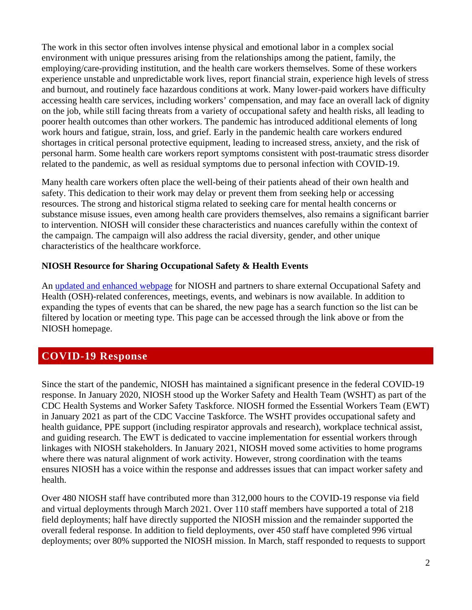The work in this sector often involves intense physical and emotional labor in a complex social environment with unique pressures arising from the relationships among the patient, family, the employing/care-providing institution, and the health care workers themselves. Some of these workers experience unstable and unpredictable work lives, report financial strain, experience high levels of stress and burnout, and routinely face hazardous conditions at work. Many lower-paid workers have difficulty accessing health care services, including workers' compensation, and may face an overall lack of dignity on the job, while still facing threats from a variety of occupational safety and health risks, all leading to poorer health outcomes than other workers. The pandemic has introduced additional elements of long work hours and fatigue, strain, loss, and grief. Early in the pandemic health care workers endured shortages in critical personal protective equipment, leading to increased stress, anxiety, and the risk of personal harm. Some health care workers report symptoms consistent with post-traumatic stress disorder related to the pandemic, as well as residual symptoms due to personal infection with COVID-19.

Many health care workers often place the well-being of their patients ahead of their own health and safety. This dedication to their work may delay or prevent them from seeking help or accessing resources. The strong and historical stigma related to seeking care for mental health concerns or substance misuse issues, even among health care providers themselves, also remains a significant barrier to intervention. NIOSH will consider these characteristics and nuances carefully within the context of the campaign. The campaign will also address the racial diversity, gender, and other unique characteristics of the healthcare workforce.

#### **NIOSH Resource for Sharing Occupational Safety & Health Events**

An [updated and enhanced webpage](https://www.cdc.gov/niosh/conferences/default.html?Sort=Start%20Date%3A%3Aasc) for NIOSH and partners to share external Occupational Safety and Health (OSH)-related conferences, meetings, events, and webinars is now available. In addition to expanding the types of events that can be shared, the new page has a search function so the list can be filtered by location or meeting type. This page can be accessed through the link above or from the [NIOSH homepage.](https://www.cdc.gov/niosh/index.htm)

# **COVID-19 Response**

Since the start of the pandemic, NIOSH has maintained a significant presence in the federal COVID-19 response. In January 2020, NIOSH stood up the Worker Safety and Health Team (WSHT) as part of the CDC Health Systems and Worker Safety Taskforce. NIOSH formed the Essential Workers Team (EWT) in January 2021 as part of the CDC Vaccine Taskforce. The WSHT provides occupational safety and health guidance, PPE support (including respirator approvals and research), workplace technical assist, and guiding research. The EWT is dedicated to vaccine implementation for essential workers through linkages with NIOSH stakeholders. In January 2021, NIOSH moved some activities to home programs where there was natural alignment of work activity. However, strong coordination with the teams ensures NIOSH has a voice within the response and addresses issues that can impact worker safety and health.

Over 480 NIOSH staff have contributed more than 312,000 hours to the COVID-19 response via field and virtual deployments through March 2021. Over 110 staff members have supported a total of 218 field deployments; half have directly supported the NIOSH mission and the remainder supported the overall federal response. In addition to field deployments, over 450 staff have completed 996 virtual deployments; over 80% supported the NIOSH mission. In March, staff responded to requests to support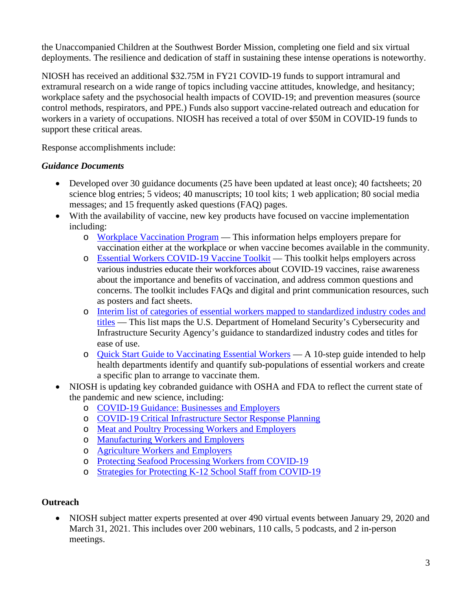the Unaccompanied Children at the Southwest Border Mission, completing one field and six virtual deployments. The resilience and dedication of staff in sustaining these intense operations is noteworthy.

NIOSH has received an additional \$32.75M in FY21 COVID-19 funds to support intramural and extramural research on a wide range of topics including vaccine attitudes, knowledge, and hesitancy; workplace safety and the psychosocial health impacts of COVID-19; and prevention measures (source control methods, respirators, and PPE.) Funds also support vaccine-related outreach and education for workers in a variety of occupations. NIOSH has received a total of over \$50M in COVID-19 funds to support these critical areas.

Response accomplishments include:

### *Guidance Documents*

- Developed over 30 guidance documents (25 have been updated at least once); 40 factsheets; 20 science blog entries; 5 videos; 40 manuscripts; 10 tool kits; 1 web application; 80 social media messages; and 15 frequently asked questions (FAQ) pages.
- With the availability of vaccine, new key products have focused on vaccine implementation including:
	- o [Workplace Vaccination Program](https://www.cdc.gov/coronavirus/2019-ncov/vaccines/recommendations/essentialworker/workplace-vaccination-program.html)  This information helps employers prepare for vaccination either at the workplace or when vaccine becomes available in the community.
	- o [Essential Workers COVID-19 Vaccine Toolkit](https://www.cdc.gov/coronavirus/2019-ncov/vaccines/toolkits/essential-workers.html)  This toolkit helps employers across various industries educate their workforces about COVID-19 vaccines, raise awareness about the importance and benefits of vaccination, and address common questions and concerns. The toolkit includes FAQs and digital and print communication resources, such as posters and fact sheets.
	- o [Interim list of categories of essential workers mapped to standardized industry codes and](https://www.cdc.gov/vaccines/covid-19/categories-essential-workers.html)  [titles](https://www.cdc.gov/vaccines/covid-19/categories-essential-workers.html) — This list maps the U.S. Department of Homeland Security's Cybersecurity and Infrastructure Security Agency's guidance to standardized industry codes and titles for ease of use.
	- o [Quick Start Guide to Vaccinating Essential Workers](https://www.cdc.gov/vaccines/covid-19/health-departments/essential-workers/index.html)  A 10-step guide intended to help health departments identify and quantify sub-populations of essential workers and create a specific plan to arrange to vaccinate them.
- NIOSH is updating key cobranded guidance with OSHA and FDA to reflect the current state of the pandemic and new science, including:
	- o [COVID-19 Guidance: Businesses and Employers](https://www.cdc.gov/coronavirus/2019-ncov/community/guidance-business-response.html)
	- o [COVID-19 Critical Infrastructure Sector Response Planning](https://www.cdc.gov/coronavirus/2019-ncov/community/critical-infrastructure-sectors.html)
	- o [Meat and Poultry Processing Workers and Employers](https://www.cdc.gov/coronavirus/2019-ncov/community/organizations/meat-poultry-processing-workers-employers.html)
	- o [Manufacturing Workers and Employers](https://www.cdc.gov/coronavirus/2019-ncov/community/guidance-manufacturing-workers-employers.html)
	- o [Agriculture Workers and Employers](https://www.cdc.gov/coronavirus/2019-ncov/community/guidance-agricultural-workers.html)
	- o [Protecting Seafood Processing Workers from COVID-19](https://www.cdc.gov/coronavirus/2019-ncov/community/guidance-seafood-processing.html)
	- o [Strategies for Protecting K-12 School Staff from COVID-19](https://www.cdc.gov/coronavirus/2019-ncov/community/schools-childcare/k-12-staff.html)

# **Outreach**

• NIOSH subject matter experts presented at over 490 virtual events between January 29, 2020 and March 31, 2021. This includes over 200 webinars, 110 calls, 5 podcasts, and 2 in-person meetings.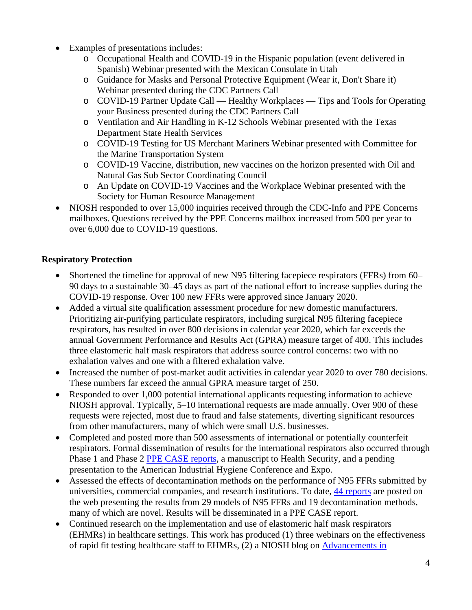- Examples of presentations includes:
	- o Occupational Health and COVID-19 in the Hispanic population (event delivered in Spanish) Webinar presented with the Mexican Consulate in Utah
	- o Guidance for Masks and Personal Protective Equipment (Wear it, Don't Share it) Webinar presented during the CDC Partners Call
	- o COVID-19 Partner Update Call Healthy Workplaces Tips and Tools for Operating your Business presented during the CDC Partners Call
	- o Ventilation and Air Handling in K-12 Schools Webinar presented with the Texas Department State Health Services
	- o COVID-19 Testing for US Merchant Mariners Webinar presented with Committee for the Marine Transportation System
	- o COVID-19 Vaccine, distribution, new vaccines on the horizon presented with Oil and Natural Gas Sub Sector Coordinating Council
	- o An Update on COVID-19 Vaccines and the Workplace Webinar presented with the Society for Human Resource Management
- NIOSH responded to over 15,000 inquiries received through the CDC-Info and PPE Concerns mailboxes. Questions received by the PPE Concerns mailbox increased from 500 per year to over 6,000 due to COVID-19 questions.

### **Respiratory Protection**

- Shortened the timeline for approval of new N95 filtering facepiece respirators (FFRs) from 60– 90 days to a sustainable 30–45 days as part of the national effort to increase supplies during the COVID-19 response. Over 100 new FFRs were approved since January 2020.
- Added a virtual site qualification assessment procedure for new domestic manufacturers. Prioritizing air-purifying particulate respirators, including surgical N95 filtering facepiece respirators, has resulted in over 800 decisions in calendar year 2020, which far exceeds the annual Government Performance and Results Act (GPRA) measure target of 400. This includes three elastomeric half mask respirators that address source control concerns: two with no exhalation valves and one with a filtered exhalation valve.
- Increased the number of post-market audit activities in calendar year 2020 to over 780 decisions. These numbers far exceed the annual GPRA measure target of 250.
- Responded to over 1,000 potential international applicants requesting information to achieve NIOSH approval. Typically, 5–10 international requests are made annually. Over 900 of these requests were rejected, most due to fraud and false statements, diverting significant resources from other manufacturers, many of which were small U.S. businesses.
- Completed and posted more than 500 assessments of international or potentially counterfeit respirators. Formal dissemination of results for the international respirators also occurred through Phase 1 and Phase 2 [PPE CASE reports,](https://www.cdc.gov/niosh/npptl/ppecase.html) a manuscript to Health Security, and a pending presentation to the American Industrial Hygiene Conference and Expo.
- Assessed the effects of decontamination methods on the performance of N95 FFRs submitted by universities, commercial companies, and research institutions. To date, [44 reports](https://www.cdc.gov/niosh/npptl/respirators/testing/DeconResults.html) are posted on the web presenting the results from 29 models of N95 FFRs and 19 decontamination methods, many of which are novel. Results will be disseminated in a PPE CASE report.
- Continued research on the implementation and use of elastomeric half mask respirators (EHMRs) in healthcare settings. This work has produced (1) three webinars on the effectiveness of rapid fit testing healthcare staff to EHMRs, (2) a NIOSH blog on [Advancements in](https://blogs.cdc.gov/niosh-science-blog/2021/03/01/elastomeric_source-control/)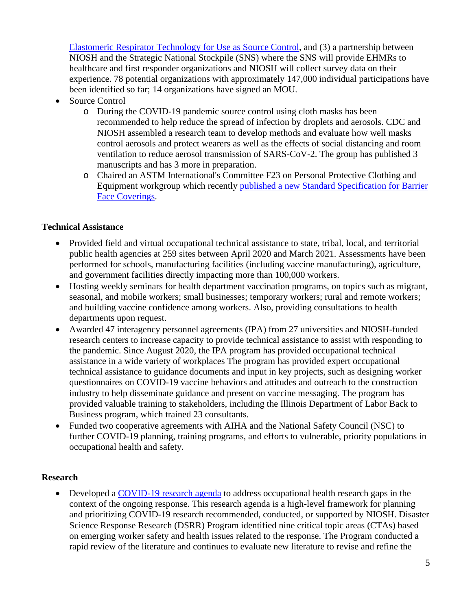[Elastomeric Respirator Technology for Use as Source Control,](https://blogs.cdc.gov/niosh-science-blog/2021/03/01/elastomeric_source-control/) and (3) a partnership between NIOSH and the Strategic National Stockpile (SNS) where the SNS will provide EHMRs to healthcare and first responder organizations and NIOSH will collect survey data on their experience. 78 potential organizations with approximately 147,000 individual participations have been identified so far; 14 organizations have signed an MOU.

- Source Control
	- o During the COVID-19 pandemic source control using cloth masks has been recommended to help reduce the spread of infection by droplets and aerosols. CDC and NIOSH assembled a research team to develop methods and evaluate how well masks control aerosols and protect wearers as well as the effects of social distancing and room ventilation to reduce aerosol transmission of SARS-CoV-2. The group has published 3 manuscripts and has 3 more in preparation.
	- o Chaired an ASTM International's Committee F23 on Personal Protective Clothing and Equipment workgroup which recently [published a new Standard Specification for Barrier](https://www.astm.org/Standards/F3502.htm)  [Face Coverings.](https://www.astm.org/Standards/F3502.htm)

#### **Technical Assistance**

- Provided field and virtual occupational technical assistance to state, tribal, local, and territorial public health agencies at 259 sites between April 2020 and March 2021. Assessments have been performed for schools, manufacturing facilities (including vaccine manufacturing), agriculture, and government facilities directly impacting more than 100,000 workers.
- Hosting weekly seminars for health department vaccination programs, on topics such as migrant, seasonal, and mobile workers; small businesses; temporary workers; rural and remote workers; and building vaccine confidence among workers. Also, providing consultations to health departments upon request.
- Awarded 47 interagency personnel agreements (IPA) from 27 universities and NIOSH-funded research centers to increase capacity to provide technical assistance to assist with responding to the pandemic. Since August 2020, the IPA program has provided occupational technical assistance in a wide variety of workplaces The program has provided expert occupational technical assistance to guidance documents and input in key projects, such as designing worker questionnaires on COVID-19 vaccine behaviors and attitudes and outreach to the construction industry to help disseminate guidance and present on vaccine messaging. The program has provided valuable training to stakeholders, including the Illinois Department of Labor Back to Business program, which trained 23 consultants.
- Funded two cooperative agreements with AIHA and the National Safety Council (NSC) to further COVID-19 planning, training programs, and efforts to vulnerable, priority populations in occupational health and safety.

# **Research**

• Developed a [COVID-19 research agenda](https://www.cdc.gov/niosh/docs/2021-113/) to address occupational health research gaps in the context of the ongoing response. This research agenda is a high-level framework for planning and prioritizing COVID-19 research recommended, conducted, or supported by NIOSH. Disaster Science Response Research (DSRR) Program identified nine critical topic areas (CTAs) based on emerging worker safety and health issues related to the response. The Program conducted a rapid review of the literature and continues to evaluate new literature to revise and refine the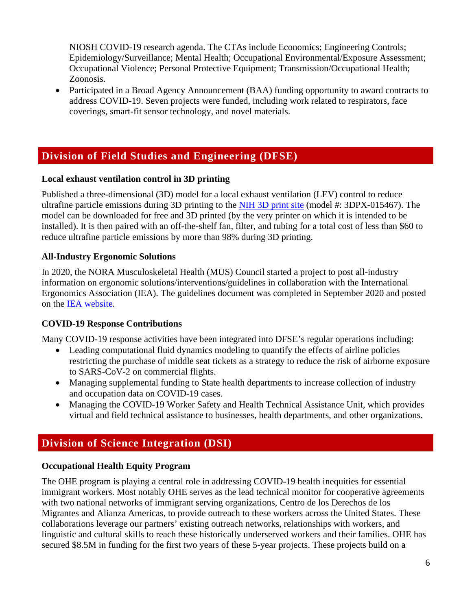NIOSH COVID-19 research agenda. The CTAs include Economics; Engineering Controls; Epidemiology/Surveillance; Mental Health; Occupational Environmental/Exposure Assessment; Occupational Violence; Personal Protective Equipment; Transmission/Occupational Health; Zoonosis.

• Participated in a Broad Agency Announcement (BAA) funding opportunity to award contracts to address COVID-19. Seven projects were funded, including work related to respirators, face coverings, smart-fit sensor technology, and novel materials.

# **Division of Field Studies and Engineering (DFSE)**

#### **Local exhaust ventilation control in 3D printing**

Published a three-dimensional (3D) model for a local exhaust ventilation (LEV) control to reduce ultrafine particle emissions during 3D printing to the [NIH 3D print site](https://3dprint.nih.gov/discover) (model #: 3DPX-015467). The model can be downloaded for free and 3D printed (by the very printer on which it is intended to be installed). It is then paired with an off-the-shelf fan, filter, and tubing for a total cost of less than \$60 to reduce ultrafine particle emissions by more than 98% during 3D printing.

### **All-Industry Ergonomic Solutions**

In 2020, the NORA Musculoskeletal Health (MUS) Council started a project to post all-industry information on ergonomic solutions/interventions/guidelines in collaboration with the International Ergonomics Association (IEA). The guidelines document was completed in September 2020 and posted on the [IEA website.](https://iea.cc/member/musculoskeletal-disorders/)

#### **COVID-19 Response Contributions**

Many COVID-19 response activities have been integrated into DFSE's regular operations including:

- Leading computational fluid dynamics modeling to quantify the effects of airline policies restricting the purchase of middle seat tickets as a strategy to reduce the risk of airborne exposure to SARS-CoV-2 on commercial flights.
- Managing supplemental funding to State health departments to increase collection of industry and occupation data on COVID-19 cases.
- Managing the COVID-19 Worker Safety and Health Technical Assistance Unit, which provides virtual and field technical assistance to businesses, health departments, and other organizations.

# **Division of Science Integration (DSI)**

# **Occupational Health Equity Program**

The OHE program is playing a central role in addressing COVID-19 health inequities for essential immigrant workers. Most notably OHE serves as the lead technical monitor for cooperative agreements with two national networks of immigrant serving organizations, Centro de los Derechos de los Migrantes and Alianza Americas, to provide outreach to these workers across the United States. These collaborations leverage our partners' existing outreach networks, relationships with workers, and linguistic and cultural skills to reach these historically underserved workers and their families. OHE has secured \$8.5M in funding for the first two years of these 5-year projects. These projects build on a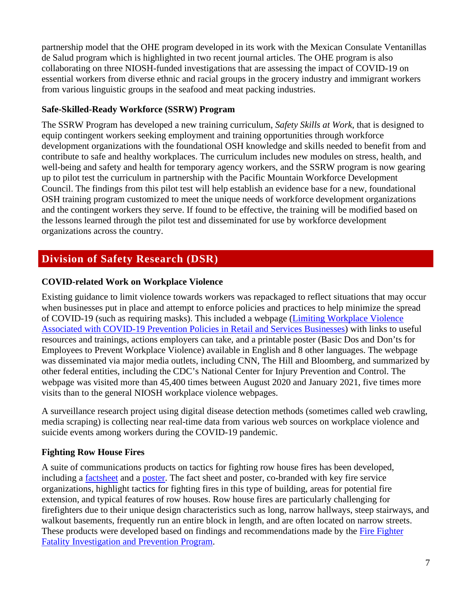partnership model that the OHE program developed in its work with the Mexican Consulate Ventanillas de Salud program which is highlighted in two recent journal articles. The OHE program is also collaborating on three NIOSH-funded investigations that are assessing the impact of COVID-19 on essential workers from diverse ethnic and racial groups in the grocery industry and immigrant workers from various linguistic groups in the seafood and meat packing industries.

### **Safe-Skilled-Ready Workforce (SSRW) Program**

The SSRW Program has developed a new training curriculum, *Safety Skills at Work*, that is designed to equip contingent workers seeking employment and training opportunities through workforce development organizations with the foundational OSH knowledge and skills needed to benefit from and contribute to safe and healthy workplaces. The curriculum includes new modules on stress, health, and well-being and safety and health for temporary agency workers, and the SSRW program is now gearing up to pilot test the curriculum in partnership with the Pacific Mountain Workforce Development Council. The findings from this pilot test will help establish an evidence base for a new, foundational OSH training program customized to meet the unique needs of workforce development organizations and the contingent workers they serve. If found to be effective, the training will be modified based on the lessons learned through the pilot test and disseminated for use by workforce development organizations across the country.

# **Division of Safety Research (DSR)**

# **COVID-related Work on Workplace Violence**

Existing guidance to limit violence towards workers was repackaged to reflect situations that may occur when businesses put in place and attempt to enforce policies and practices to help minimize the spread of COVID-19 (such as requiring masks). This included a webpage [\(Limiting Workplace Violence](https://www.cdc.gov/coronavirus/2019-ncov/community/organizations/business-employers/limit-workplace-violence.html)  [Associated with COVID-19 Prevention Policies in Retail and Services Businesses\)](https://www.cdc.gov/coronavirus/2019-ncov/community/organizations/business-employers/limit-workplace-violence.html) with links to useful resources and trainings, actions employers can take, and a printable poster (Basic Dos and Don'ts for Employees to Prevent Workplace Violence) available in English and 8 other languages. The webpage was disseminated via major media outlets, including CNN, The Hill and Bloomberg, and summarized by other federal entities, including the CDC's National Center for Injury Prevention and Control. The webpage was visited more than 45,400 times between August 2020 and January 2021, five times more visits than to the general NIOSH workplace violence webpages.

A surveillance research project using digital disease detection methods (sometimes called web crawling, media scraping) is collecting near real-time data from various web sources on workplace violence and suicide events among workers during the COVID-19 pandemic.

# **Fighting Row House Fires**

A suite of communications products on tactics for fighting row house fires has been developed, including a [factsheet](https://www.cdc.gov/niosh/docs/2020-117/default.html) and a [poster.](https://www.cdc.gov/niosh/docs/2020-118/default.html) The fact sheet and poster, co-branded with key fire service organizations, highlight tactics for fighting fires in this type of building, areas for potential fire extension, and typical features of row houses. Row house fires are particularly challenging for firefighters due to their unique design characteristics such as long, narrow hallways, steep stairways, and walkout basements, frequently run an entire block in length, and are often located on narrow streets. These products were developed based on findings and recommendations made by the [Fire Fighter](http://www.cdc.gov/niosh/fire)  [Fatality Investigation and Prevention Program.](http://www.cdc.gov/niosh/fire)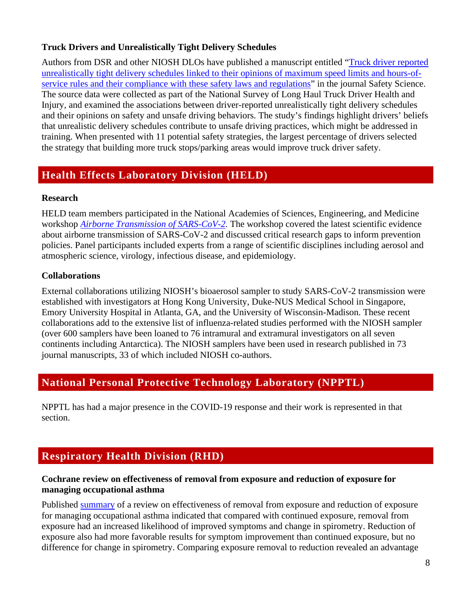# **Truck Drivers and Unrealistically Tight Delivery Schedules**

Authors from DSR and other NIOSH DLOs have published a manuscript entitled ["Truck driver reported](https://www.sciencedirect.com/science/article/pii/S0925753520304008?via%3Dihub)  [unrealistically tight delivery schedules linked to their opinions of maximum speed limits and hours-of](https://www.sciencedirect.com/science/article/pii/S0925753520304008?via%3Dihub)[service rules and their compliance with these safety laws and regulations"](https://www.sciencedirect.com/science/article/pii/S0925753520304008?via%3Dihub) in the journal Safety Science. The source data were collected as part of the National Survey of Long Haul Truck Driver Health and Injury, and examined the associations between driver-reported unrealistically tight delivery schedules and their opinions on safety and unsafe driving behaviors. The study's findings highlight drivers' beliefs that unrealistic delivery schedules contribute to unsafe driving practices, which might be addressed in training. When presented with 11 potential safety strategies, the largest percentage of drivers selected the strategy that building more truck stops/parking areas would improve truck driver safety.

# **Health Effects Laboratory Division (HELD)**

#### **Research**

HELD team members participated in the National Academies of Sciences, Engineering, and Medicine workshop *[Airborne Transmission of SARS-CoV-2.](https://doi.org/10.17226/25958)* The workshop covered the latest scientific evidence about airborne transmission of SARS-CoV-2 and discussed critical research gaps to inform prevention policies. Panel participants included experts from a range of scientific disciplines including aerosol and atmospheric science, virology, infectious disease, and epidemiology.

#### **Collaborations**

External collaborations utilizing NIOSH's bioaerosol sampler to study SARS-CoV-2 transmission were established with investigators at Hong Kong University, Duke-NUS Medical School in Singapore, Emory University Hospital in Atlanta, GA, and the University of Wisconsin-Madison. These recent collaborations add to the extensive list of influenza-related studies performed with the NIOSH sampler (over 600 samplers have been loaned to 76 intramural and extramural investigators on all seven continents including Antarctica). The NIOSH samplers have been used in research published in 73 journal manuscripts, 33 of which included NIOSH co-authors.

# **National Personal Protective Technology Laboratory (NPPTL)**

NPPTL has had a major presence in the COVID-19 response and their work is represented in that section.

# **Respiratory Health Division (RHD)**

#### **Cochrane review on effectiveness of removal from exposure and reduction of exposure for managing occupational asthma**

Published [summary](https://onlinelibrary.wiley.com/doi/10.1002/ajim.23208) of a review on effectiveness of removal from exposure and reduction of exposure for managing occupational asthma indicated that compared with continued exposure, removal from exposure had an increased likelihood of improved symptoms and change in spirometry. Reduction of exposure also had more favorable results for symptom improvement than continued exposure, but no difference for change in spirometry. Comparing exposure removal to reduction revealed an advantage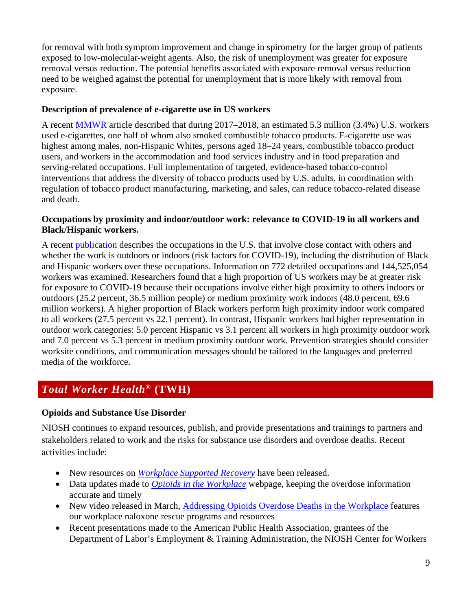for removal with both symptom improvement and change in spirometry for the larger group of patients exposed to low-molecular-weight agents. Also, the risk of unemployment was greater for exposure removal versus reduction. The potential benefits associated with exposure removal versus reduction need to be weighed against the potential for unemployment that is more likely with removal from exposure.

#### **Description of prevalence of e-cigarette use in US workers**

A recent [MMWR](https://www.cdc.gov/mmwr/volumes/70/wr/mm7009a1.htm?s_cid=mm7009a1_w) article described that during 2017–2018, an estimated 5.3 million (3.4%) U.S. workers used e-cigarettes, one half of whom also smoked combustible tobacco products. E-cigarette use was highest among males, non-Hispanic Whites, persons aged 18–24 years, combustible tobacco product users, and workers in the accommodation and food services industry and in food preparation and serving-related occupations. Full implementation of targeted, evidence-based tobacco-control interventions that address the diversity of tobacco products used by U.S. adults, in coordination with regulation of tobacco product manufacturing, marketing, and sales, can reduce tobacco-related disease and death.

#### **Occupations by proximity and indoor/outdoor work: relevance to COVID-19 in all workers and Black/Hispanic workers.**

A recent [publication](https://www.sciencedirect.com/science/article/pii/S0749379721000696?via%3Dihub) describes the occupations in the U.S. that involve close contact with others and whether the work is outdoors or indoors (risk factors for COVID-19), including the distribution of Black and Hispanic workers over these occupations. Information on 772 detailed occupations and 144,525,054 workers was examined. Researchers found that a high proportion of US workers may be at greater risk for exposure to COVID-19 because their occupations involve either high proximity to others indoors or outdoors (25.2 percent, 36.5 million people) or medium proximity work indoors (48.0 percent, 69.6 million workers). A higher proportion of Black workers perform high proximity indoor work compared to all workers (27.5 percent vs 22.1 percent). In contrast, Hispanic workers had higher representation in outdoor work categories: 5.0 percent Hispanic vs 3.1 percent all workers in high proximity outdoor work and 7.0 percent vs 5.3 percent in medium proximity outdoor work. Prevention strategies should consider worksite conditions, and communication messages should be tailored to the languages and preferred media of the workforce.

# *Total Worker Health***® (TWH)**

# **Opioids and Substance Use Disorder**

NIOSH continues to expand resources, publish, and provide presentations and trainings to partners and stakeholders related to work and the risks for substance use disorders and overdose deaths. Recent activities include:

- New resources on *[Workplace Supported Recovery](https://www.cdc.gov/niosh/topics/opioids/wsrp/default.html)* have been released.
- Data updates made to *[Opioids in the Workplace](https://www.cdc.gov/niosh/topics/opioids/default.html)* webpage, keeping the overdose information accurate and timely
- New video released in March, [Addressing Opioids Overdose Deaths in the Workplace](https://www.youtube.com/watch?v=WIsHYCA7Nlk) features our workplace naloxone rescue programs and resources
- Recent presentations made to the American Public Health Association, grantees of the Department of Labor's Employment & Training Administration, the NIOSH Center for Workers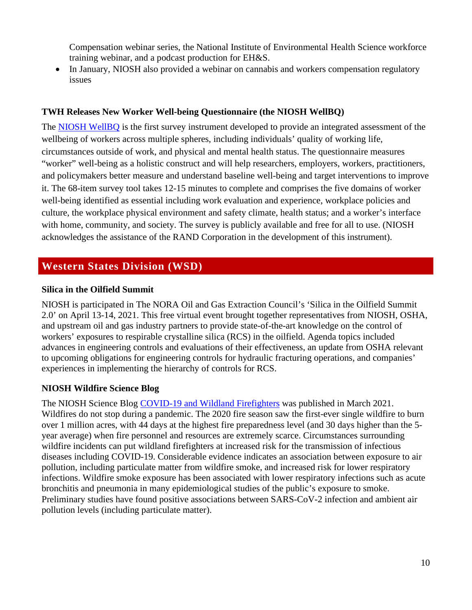Compensation webinar series, the National Institute of Environmental Health Science workforce training webinar, and a podcast production for EH&S.

• In January, NIOSH also provided a webinar on cannabis and workers compensation regulatory issues

#### **TWH Releases New Worker Well-being Questionnaire (the NIOSH WellBQ)**

The [NIOSH WellBQ](https://www.cdc.gov/niosh/docs/2021-110/default.html) is the first survey instrument developed to provide an integrated assessment of the wellbeing of workers across multiple spheres, including individuals' quality of working life, circumstances outside of work, and physical and mental health status. The questionnaire measures "worker" well-being as a holistic construct and will help researchers, employers, workers, practitioners, and policymakers better measure and understand baseline well-being and target interventions to improve it. The 68-item survey tool takes 12-15 minutes to complete and comprises the five domains of worker well-being identified as essential including work evaluation and experience, workplace policies and culture, the workplace physical environment and safety climate, health status; and a worker's interface with home, community, and society. The survey is publicly available and free for all to use. (NIOSH acknowledges the assistance of the RAND Corporation in the development of this instrument).

# **Western States Division (WSD)**

#### **Silica in the Oilfield Summit**

NIOSH is participated in The NORA Oil and Gas Extraction Council's 'Silica in the Oilfield Summit 2.0' on April 13-14, 2021. This free virtual event brought together representatives from NIOSH, OSHA, and upstream oil and gas industry partners to provide state-of-the-art knowledge on the control of workers' exposures to respirable crystalline silica (RCS) in the oilfield. Agenda topics included advances in engineering controls and evaluations of their effectiveness, an update from OSHA relevant to upcoming obligations for engineering controls for hydraulic fracturing operations, and companies' experiences in implementing the hierarchy of controls for RCS.

#### **NIOSH Wildfire Science Blog**

The NIOSH Science Blog [COVID-19 and Wildland Firefighters](https://blogs.cdc.gov/niosh-science-blog/2021/03/30/covid-wildlfires/) was published in March 2021. Wildfires do not stop during a pandemic. The 2020 fire season saw the first-ever single wildfire to burn over 1 million acres, with 44 days at the highest fire preparedness level (and 30 days higher than the 5 year average) when fire personnel and resources are extremely scarce. Circumstances surrounding wildfire incidents can put wildland firefighters at increased risk for the transmission of infectious diseases including COVID-19. Considerable evidence indicates an association between exposure to air pollution, including particulate matter from wildfire smoke, and increased risk for lower respiratory infections. Wildfire smoke exposure has been associated with lower respiratory infections such as acute bronchitis and pneumonia in many epidemiological studies of the public's exposure to smoke. Preliminary studies have found positive associations between SARS-CoV-2 infection and ambient air pollution levels (including particulate matter).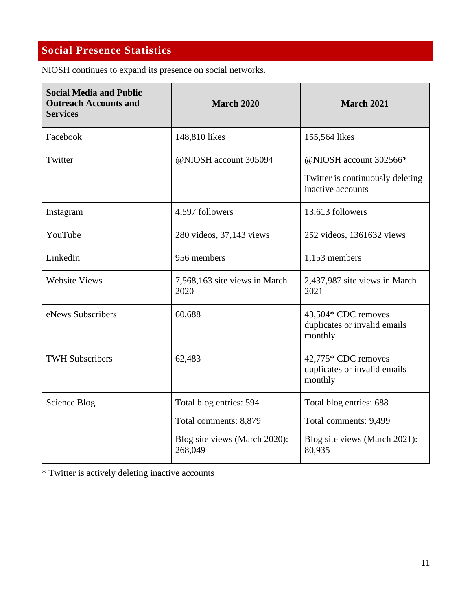# **Social Presence Statistics**

NIOSH continues to expand its presence on social networks*.* 

| <b>Social Media and Public</b><br><b>Outreach Accounts and</b><br><b>Services</b> | <b>March 2020</b>                        | <b>March 2021</b>                                              |
|-----------------------------------------------------------------------------------|------------------------------------------|----------------------------------------------------------------|
| Facebook                                                                          | 148,810 likes                            | 155,564 likes                                                  |
| Twitter                                                                           | @NIOSH account 305094                    | @NIOSH account 302566*                                         |
|                                                                                   |                                          | Twitter is continuously deleting<br>inactive accounts          |
| Instagram                                                                         | 4,597 followers                          | 13,613 followers                                               |
| YouTube                                                                           | 280 videos, 37,143 views                 | 252 videos, 1361632 views                                      |
| LinkedIn                                                                          | 956 members                              | 1,153 members                                                  |
| <b>Website Views</b>                                                              | 7,568,163 site views in March<br>2020    | 2,437,987 site views in March<br>2021                          |
| eNews Subscribers                                                                 | 60,688                                   | 43,504* CDC removes<br>duplicates or invalid emails<br>monthly |
| <b>TWH Subscribers</b>                                                            | 62,483                                   | 42,775* CDC removes<br>duplicates or invalid emails<br>monthly |
| Science Blog                                                                      | Total blog entries: 594                  | Total blog entries: 688                                        |
|                                                                                   | Total comments: 8,879                    | Total comments: 9,499                                          |
|                                                                                   | Blog site views (March 2020):<br>268,049 | Blog site views (March 2021):<br>80,935                        |

\* Twitter is actively deleting inactive accounts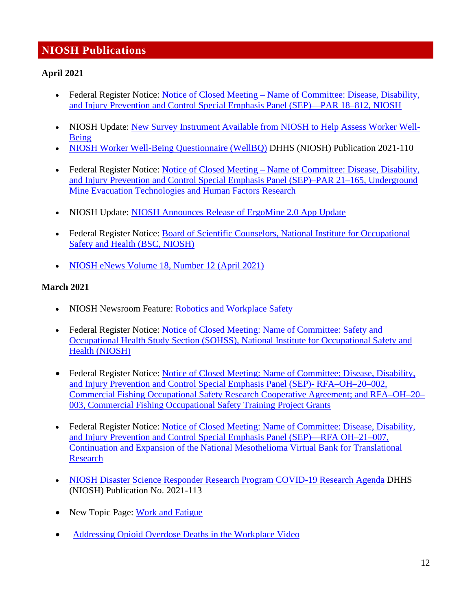# **NIOSH Publications**

#### **April 2021**

- Federal Register Notice: [Notice of Closed Meeting Name of Committee: Disease, Disability,](https://www.federalregister.gov/documents/2021/04/13/2021-07487/notice-of-closed-meeting)  [and Injury Prevention and Control Special Emphasis Panel \(SEP\)—PAR 18–812, NIOSH](https://www.federalregister.gov/documents/2021/04/13/2021-07487/notice-of-closed-meeting)
- NIOSH Update: [New Survey Instrument Available from NIOSH to Help Assess Worker Well-](https://www.cdc.gov/niosh/updates/upd-04-09-21.html)[Being](https://www.cdc.gov/niosh/updates/upd-04-09-21.html)
- [NIOSH Worker Well-Being Questionnaire \(WellBQ\)](https://www.cdc.gov/niosh/docs/2021-110/) DHHS (NIOSH) Publication 2021-110
- Federal Register Notice: [Notice of Closed Meeting Name of Committee: Disease, Disability,](https://www.federalregister.gov/documents/2021/04/07/2021-07162/notice-of-closed-meeting)  [and Injury Prevention and Control Special Emphasis Panel \(SEP\)–PAR 21–165, Underground](https://www.federalregister.gov/documents/2021/04/07/2021-07162/notice-of-closed-meeting)  [Mine Evacuation Technologies and Human Factors Research](https://www.federalregister.gov/documents/2021/04/07/2021-07162/notice-of-closed-meeting)
- NIOSH Update: [NIOSH Announces Release of ErgoMine 2.0 App Update](https://www.cdc.gov/niosh/updates/upd-04-06-21.html)
- Federal Register Notice: [Board of Scientific Counselors, National Institute for Occupational](https://www.federalregister.gov/documents/2021/04/05/2021-06927/board-of-scientific-counselors-national-institute-for-occupational-safety-and-health-bsc-niosh)  [Safety and Health \(BSC, NIOSH\)](https://www.federalregister.gov/documents/2021/04/05/2021-06927/board-of-scientific-counselors-national-institute-for-occupational-safety-and-health-bsc-niosh)
- [NIOSH eNews Volume 18, Number 12 \(April 2021\)](https://www.cdc.gov/niosh/enews/enewsv18n12.html)

### **March 2021**

- NIOSH Newsroom Feature: [Robotics and Workplace Safety](https://www.cdc.gov/niosh/newsroom/feature/robotics-workplace-safety.html)
- Federal Register Notice: [Notice of Closed Meeting: Name of Committee: Safety and](https://www.federalregister.gov/documents/2021/03/29/2021-06369/notice-of-closed-meeting)  [Occupational Health Study Section \(SOHSS\), National Institute for Occupational Safety and](https://www.federalregister.gov/documents/2021/03/29/2021-06369/notice-of-closed-meeting)  [Health \(NIOSH\)](https://www.federalregister.gov/documents/2021/03/29/2021-06369/notice-of-closed-meeting)
- Federal Register Notice: Notice of Closed Meeting: Name of Committee: Disease, Disability, [and Injury Prevention and Control Special Emphasis Panel \(SEP\)- RFA–OH–20–002,](https://www.federalregister.gov/documents/2021/03/29/2021-06371/notice-of-closed-meeting)  [Commercial Fishing Occupational Safety Research Cooperative Agreement; and RFA–OH–20–](https://www.federalregister.gov/documents/2021/03/29/2021-06371/notice-of-closed-meeting) [003, Commercial Fishing Occupational Safety Training Project Grants](https://www.federalregister.gov/documents/2021/03/29/2021-06371/notice-of-closed-meeting)
- Federal Register Notice: [Notice of Closed Meeting: Name of Committee: Disease, Disability,](https://www.federalregister.gov/documents/2021/03/29/2021-06370/notice-of-closed-meeting)  [and Injury Prevention and Control Special Emphasis Panel \(SEP\)—RFA OH–21–007,](https://www.federalregister.gov/documents/2021/03/29/2021-06370/notice-of-closed-meeting)  [Continuation and Expansion of the National Mesothelioma Virtual Bank for Translational](https://www.federalregister.gov/documents/2021/03/29/2021-06370/notice-of-closed-meeting)  [Research](https://www.federalregister.gov/documents/2021/03/29/2021-06370/notice-of-closed-meeting)
- [NIOSH Disaster Science Responder Research Program COVID-19 Research Agenda](https://www.cdc.gov/niosh/docs/2021-113/default.html) DHHS (NIOSH) Publication No. 2021-113
- New Topic Page: [Work and Fatigue](https://www.cdc.gov/niosh/topics/fatigue/default.html)
- [Addressing Opioid Overdose Deaths in the Workplace Video](https://youtu.be/WIsHYCA7Nlk)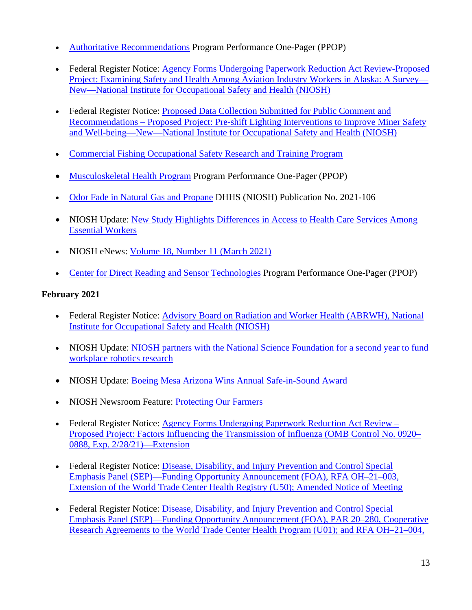- [Authoritative Recommendations](https://www.cdc.gov/niosh/programs/ppops/aur.html) Program Performance One-Pager (PPOP)
- Federal Register Notice: Agency Forms Undergoing Paperwork Reduction Act Review-Proposed [Project: Examining Safety and Health Among Aviation Industry Workers in Alaska: A Survey—](https://www.federalregister.gov/documents/2021/03/19/2021-05763/agency-forms-undergoing-paperwork-reduction-act-review) [New—National Institute for Occupational Safety and Health \(NIOSH\)](https://www.federalregister.gov/documents/2021/03/19/2021-05763/agency-forms-undergoing-paperwork-reduction-act-review)
- Federal Register Notice: [Proposed Data Collection Submitted for Public Comment and](https://www.federalregister.gov/documents/2021/03/19/2021-05764/proposed-data-collection-submitted-for-public-comment-and-recommendations)  [Recommendations – Proposed Project: Pre-shift Lighting Interventions to Improve Miner Safety](https://www.federalregister.gov/documents/2021/03/19/2021-05764/proposed-data-collection-submitted-for-public-comment-and-recommendations)  [and Well-being—New—National Institute for Occupational Safety and Health \(NIOSH\)](https://www.federalregister.gov/documents/2021/03/19/2021-05764/proposed-data-collection-submitted-for-public-comment-and-recommendations)
- [Commercial Fishing Occupational Safety Research and Training Program](https://www.cdc.gov/niosh/oep/commercial-fishing-research-training/default.html)
- [Musculoskeletal Health Program](https://www.cdc.gov/niosh/programs/ppops/msd.html) Program Performance One-Pager (PPOP)
- [Odor Fade in Natural Gas and Propane](https://www.cdc.gov/niosh/docs/2021-106/default.html) DHHS (NIOSH) Publication No. 2021-106
- NIOSH Update: New Study Highlights Differences in Access to Health Care Services Among [Essential Workers](https://www.cdc.gov/niosh/updates/upd-03-10-21.html)
- NIOSH eNews: [Volume 18, Number 11 \(March 2021\)](https://www.cdc.gov/niosh/enews/enewsv18n11.html)
- [Center for Direct Reading and Sensor Technologies](https://www.cdc.gov/niosh/programs/ppops/cdrst.html) Program Performance One-Pager (PPOP)

# **February 2021**

- Federal Register Notice: [Advisory Board on Radiation and Worker Health \(ABRWH\), National](https://www.federalregister.gov/documents/2021/02/26/2021-03960/advisory-board-on-radiation-and-worker-health-abrwh-national-institute-for-occupational-safety-and)  [Institute for Occupational Safety and Health \(NIOSH\)](https://www.federalregister.gov/documents/2021/02/26/2021-03960/advisory-board-on-radiation-and-worker-health-abrwh-national-institute-for-occupational-safety-and)
- NIOSH Update: NIOSH partners with the National Science Foundation for a second year to fund [workplace robotics research](https://www.cdc.gov/niosh/updates/upd-02-25-21.html)
- NIOSH Update: [Boeing Mesa Arizona Wins Annual Safe-in-Sound Award](https://www.cdc.gov/niosh/updates/upd-02-25-21-1.html)
- NIOSH Newsroom Feature: [Protecting Our Farmers](https://www.cdc.gov/niosh/newsroom/feature/protecting-our-farmers.html)
- Federal Register Notice: Agency Forms Undergoing Paperwork Reduction Act Review [Proposed Project: Factors Influencing the Transmission of Influenza \(OMB Control No. 0920–](https://www.federalregister.gov/documents/2021/02/23/2021-03556/agency-forms-undergoing-paperwork-reduction-act-review) [0888, Exp. 2/28/21\)—Extension](https://www.federalregister.gov/documents/2021/02/23/2021-03556/agency-forms-undergoing-paperwork-reduction-act-review)
- Federal Register Notice: [Disease, Disability, and Injury Prevention and Control Special](https://www.federalregister.gov/documents/2021/02/18/2021-03231/disease-disability-and-injury-prevention-and-control-special-emphasis-panel-sep-funding-opportunity)  [Emphasis Panel \(SEP\)—Funding Opportunity Announcement \(FOA\), RFA OH–21–003,](https://www.federalregister.gov/documents/2021/02/18/2021-03231/disease-disability-and-injury-prevention-and-control-special-emphasis-panel-sep-funding-opportunity)  [Extension of the World Trade Center Health Registry \(U50\); Amended Notice of Meeting](https://www.federalregister.gov/documents/2021/02/18/2021-03231/disease-disability-and-injury-prevention-and-control-special-emphasis-panel-sep-funding-opportunity)
- Federal Register Notice: Disease, Disability, and Injury Prevention and Control Special [Emphasis Panel \(SEP\)—Funding Opportunity Announcement \(FOA\), PAR 20–280, Cooperative](https://www.federalregister.gov/documents/2021/02/18/2021-03230/disease-disability-and-injury-prevention-and-control-special-emphasis-panel-sep-funding-opportunity)  [Research Agreements to the World Trade Center Health Program \(U01\); and RFA OH–21–004,](https://www.federalregister.gov/documents/2021/02/18/2021-03230/disease-disability-and-injury-prevention-and-control-special-emphasis-panel-sep-funding-opportunity)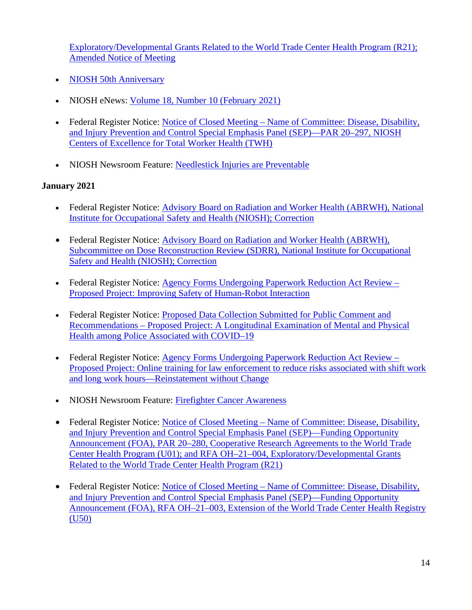[Exploratory/Developmental Grants Related to the World Trade Center Health Program \(R21\);](https://www.federalregister.gov/documents/2021/02/18/2021-03230/disease-disability-and-injury-prevention-and-control-special-emphasis-panel-sep-funding-opportunity)  [Amended Notice of Meeting](https://www.federalregister.gov/documents/2021/02/18/2021-03230/disease-disability-and-injury-prevention-and-control-special-emphasis-panel-sep-funding-opportunity)

- [NIOSH 50th Anniversary](https://www.cdc.gov/niosh/about/50thanniversary.html)
- NIOSH eNews: [Volume 18, Number 10 \(February 2021\)](https://www.cdc.gov/niosh/enews/enewsv18n10.html)
- Federal Register Notice: [Notice of Closed Meeting Name of Committee: Disease, Disability,](https://www.federalregister.gov/documents/2021/02/02/2021-02162/notice-of-closed-meeting)  [and Injury Prevention and Control Special Emphasis Panel \(SEP\)—PAR 20–297, NIOSH](https://www.federalregister.gov/documents/2021/02/02/2021-02162/notice-of-closed-meeting)  [Centers of Excellence for Total Worker Health \(TWH\)](https://www.federalregister.gov/documents/2021/02/02/2021-02162/notice-of-closed-meeting)
- NIOSH Newsroom Feature: [Needlestick Injuries are Preventable](https://www.cdc.gov/niosh/newsroom/feature/needlestick_disposal.html)

# **January 2021**

- Federal Register Notice: [Advisory Board on Radiation and Worker Health \(ABRWH\), National](https://www.federalregister.gov/documents/2021/01/28/2021-01889/advisory-board-on-radiation-and-worker-health-abrwh-national-institute-for-occupational-safety-and)  [Institute for Occupational Safety and Health \(NIOSH\); Correction](https://www.federalregister.gov/documents/2021/01/28/2021-01889/advisory-board-on-radiation-and-worker-health-abrwh-national-institute-for-occupational-safety-and)
- Federal Register Notice: Advisory Board on Radiation and Worker Health (ABRWH), [Subcommittee on Dose Reconstruction Review \(SDRR\), National Institute for Occupational](https://www.federalregister.gov/documents/2021/01/28/2021-01888/advisory-board-on-radiation-and-worker-health-abrwh-subcommittee-on-dose-reconstruction-review-sdrr)  [Safety and Health \(NIOSH\); Correction](https://www.federalregister.gov/documents/2021/01/28/2021-01888/advisory-board-on-radiation-and-worker-health-abrwh-subcommittee-on-dose-reconstruction-review-sdrr)
- Federal Register Notice: [Agency Forms Undergoing Paperwork Reduction Act Review](https://www.federalregister.gov/documents/2021/01/28/2021-01692/agency-forms-undergoing-paperwork-reduction-act-review)  [Proposed Project: Improving Safety of Human-Robot Interaction](https://www.federalregister.gov/documents/2021/01/28/2021-01692/agency-forms-undergoing-paperwork-reduction-act-review)
- Federal Register Notice: Proposed Data Collection Submitted for Public Comment and [Recommendations – Proposed Project: A Longitudinal Examination of Mental and Physical](https://www.federalregister.gov/documents/2021/01/26/2021-01621/proposed-data-collection-submitted-for-public-comment-and-recommendations)  [Health among Police Associated with COVID–19](https://www.federalregister.gov/documents/2021/01/26/2021-01621/proposed-data-collection-submitted-for-public-comment-and-recommendations)
- Federal Register Notice: [Agency Forms Undergoing Paperwork Reduction Act Review](https://www.federalregister.gov/documents/2021/01/14/2021-00690/agency-forms-undergoing-paperwork-reduction-act-review)  [Proposed Project: Online training for law enforcement to reduce risks associated with shift work](https://www.federalregister.gov/documents/2021/01/14/2021-00690/agency-forms-undergoing-paperwork-reduction-act-review)  [and long work hours—Reinstatement without Change](https://www.federalregister.gov/documents/2021/01/14/2021-00690/agency-forms-undergoing-paperwork-reduction-act-review)
- NIOSH Newsroom Feature: [Firefighter Cancer Awareness](https://www.cdc.gov/niosh/newsroom/feature/firefighter-cancer-awareness.html)
- Federal Register Notice: Notice of Closed Meeting Name of Committee: Disease, Disability, [and Injury Prevention and Control Special Emphasis Panel \(SEP\)—Funding Opportunity](https://www.federalregister.gov/documents/2021/01/11/2021-00283/notice-of-closed-meeting)  [Announcement \(FOA\), PAR 20–280, Cooperative Research Agreements to the World Trade](https://www.federalregister.gov/documents/2021/01/11/2021-00283/notice-of-closed-meeting)  [Center Health Program \(U01\); and RFA OH–21–004, Exploratory/Developmental Grants](https://www.federalregister.gov/documents/2021/01/11/2021-00283/notice-of-closed-meeting)  [Related to the World Trade Center Health Program \(R21\)](https://www.federalregister.gov/documents/2021/01/11/2021-00283/notice-of-closed-meeting)
- Federal Register Notice: Notice of Closed Meeting Name of Committee: Disease, Disability, [and Injury Prevention and Control Special Emphasis Panel \(SEP\)—Funding Opportunity](https://www.federalregister.gov/documents/2021/01/11/2021-00285/notice-of-closed-meeting)  [Announcement \(FOA\), RFA OH–21–003, Extension of the World Trade Center Health Registry](https://www.federalregister.gov/documents/2021/01/11/2021-00285/notice-of-closed-meeting)  [\(U50\)](https://www.federalregister.gov/documents/2021/01/11/2021-00285/notice-of-closed-meeting)